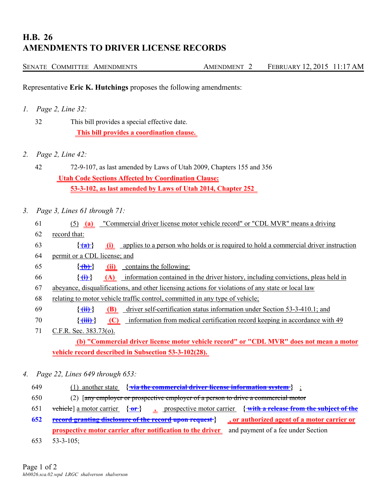## **H.B. 26 AMENDMENTS TO DRIVER LICENSE RECORDS**

|  | SENATE COMMITTEE AMENDMENTS | <b>AMENDMENT</b> | FEBRUARY 12, 2015 11:17 AM |  |
|--|-----------------------------|------------------|----------------------------|--|
|  |                             |                  |                            |  |

Representative **Eric K. Hutchings** proposes the following amendments:

- *1. Page 2, Line 32:*
	- 32 This bill provides a special effective date.  **This bill provides a coordination clause.**
- *2. Page 2, Line 42:*
	- 42 72-9-107, as last amended by Laws of Utah 2009, Chapters 155 and 356  **Utah Code Sections Affected by Coordination Clause: 53-3-102, as last amended by Laws of Utah 2014, Chapter 252**
- *3. Page 3, Lines 61 through 71:*
	- 61 (5) **(a)** "Commercial driver license motor vehicle record" or "CDL MVR" means a driving 62 record that:
	- 63 **{ (a) } (i)** applies to a person who holds or is required to hold a commercial driver instruction
	- 64 permit or a CDL license; and
	- 65  $\{\{\mathbf{\hat{b}}\}\}$  (ii) contains the following:
	- 66 **{ (i) } (A)** information contained in the driver history, including convictions, pleas held in
	- 67 abeyance, disqualifications, and other licensing actions for violations of any state or local law
	- 68 relating to motor vehicle traffic control, committed in any type of vehicle;
	- 69 **{ (ii) } (B)** driver self-certification status information under Section 53-3-410.1; and
	- 70 **{ (iii) } (C)** information from medical certification record keeping in accordance with 49
	- 71 C.F.R. Sec. 383.73(o).

 **(b) "Commercial driver license motor vehicle record" or "CDL MVR" does not mean a motor vehicle record described in Subsection 53-3-102(28).** 

- *4. Page 22, Lines 649 through 653:*
	- 649 (1) another state **{ via the commercial driver license information system }** ;
	- 650 (2) [any employer or prospective employer of a person to drive a commercial motor
	- 651 vehicle] a motor carrier **{ or } { ,** prospective motor carrier **with a release from the subject of the**
	- **652 record granting disclosure of the record upon request } , or authorized agent of a motor carrier or prospective motor carrier after notification to the driver** and payment of a fee under Section
	- 653 53-3-105;